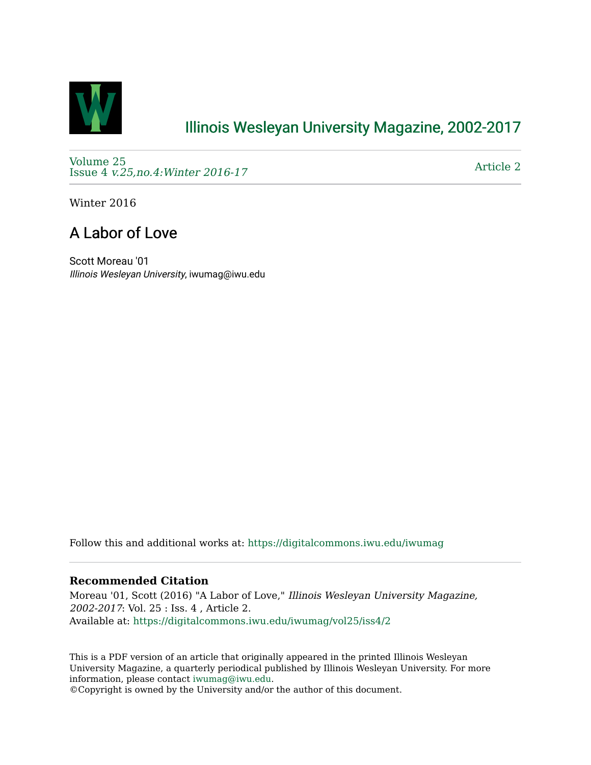

# [Illinois Wesleyan University Magazine, 2002-2017](https://digitalcommons.iwu.edu/iwumag)

[Volume 25](https://digitalcommons.iwu.edu/iwumag/vol25)  Issue 4 [v.25,no.4:Winter 2016-17](https://digitalcommons.iwu.edu/iwumag/vol25/iss4) 

[Article 2](https://digitalcommons.iwu.edu/iwumag/vol25/iss4/2) 

Winter 2016

## A Labor of Love

Scott Moreau '01 Illinois Wesleyan University, iwumag@iwu.edu

Follow this and additional works at: [https://digitalcommons.iwu.edu/iwumag](https://digitalcommons.iwu.edu/iwumag?utm_source=digitalcommons.iwu.edu%2Fiwumag%2Fvol25%2Fiss4%2F2&utm_medium=PDF&utm_campaign=PDFCoverPages) 

### **Recommended Citation**

Moreau '01, Scott (2016) "A Labor of Love," Illinois Wesleyan University Magazine, 2002-2017: Vol. 25 : Iss. 4 , Article 2. Available at: [https://digitalcommons.iwu.edu/iwumag/vol25/iss4/2](https://digitalcommons.iwu.edu/iwumag/vol25/iss4/2?utm_source=digitalcommons.iwu.edu%2Fiwumag%2Fvol25%2Fiss4%2F2&utm_medium=PDF&utm_campaign=PDFCoverPages)

This is a PDF version of an article that originally appeared in the printed Illinois Wesleyan University Magazine, a quarterly periodical published by Illinois Wesleyan University. For more information, please contact [iwumag@iwu.edu](mailto:iwumag@iwu.edu).

©Copyright is owned by the University and/or the author of this document.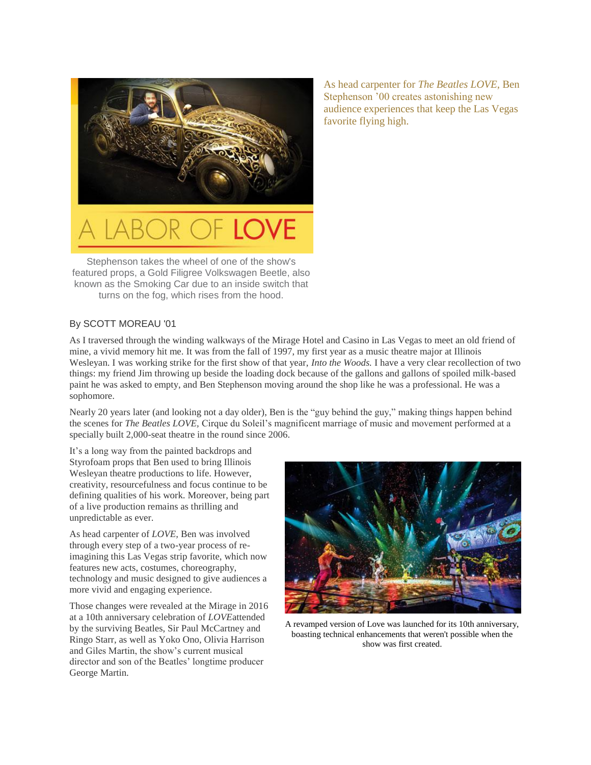

As head carpenter for *The Beatles LOVE*, Ben Stephenson '00 creates astonishing new audience experiences that keep the Las Vegas favorite flying high.

Stephenson takes the wheel of one of the show's featured props, a Gold Filigree Volkswagen Beetle, also known as the Smoking Car due to an inside switch that turns on the fog, which rises from the hood.

### By SCOTT MOREAU '01

As I traversed through the winding walkways of the Mirage Hotel and Casino in Las Vegas to meet an old friend of mine, a vivid memory hit me. It was from the fall of 1997, my first year as a music theatre major at Illinois Wesleyan. I was working strike for the first show of that year, *Into the Woods.* I have a very clear recollection of two things: my friend Jim throwing up beside the loading dock because of the gallons and gallons of spoiled milk-based paint he was asked to empty, and Ben Stephenson moving around the shop like he was a professional. He was a sophomore.

Nearly 20 years later (and looking not a day older), Ben is the "guy behind the guy," making things happen behind the scenes for *The Beatles LOVE,* Cirque du Soleil's magnificent marriage of music and movement performed at a specially built 2,000-seat theatre in the round since 2006.

It's a long way from the painted backdrops and Styrofoam props that Ben used to bring Illinois Wesleyan theatre productions to life. However, creativity, resourcefulness and focus continue to be defining qualities of his work. Moreover, being part of a live production remains as thrilling and unpredictable as ever.

As head carpenter of *LOVE,* Ben was involved through every step of a two-year process of reimagining this Las Vegas strip favorite, which now features new acts, costumes, choreography, technology and music designed to give audiences a more vivid and engaging experience.

Those changes were revealed at the Mirage in 2016 at a 10th anniversary celebration of *LOVE*attended by the surviving Beatles, Sir Paul McCartney and Ringo Starr, as well as Yoko Ono, Olivia Harrison and Giles Martin, the show's current musical director and son of the Beatles' longtime producer George Martin.



A revamped version of Love was launched for its 10th anniversary, boasting technical enhancements that weren't possible when the show was first created.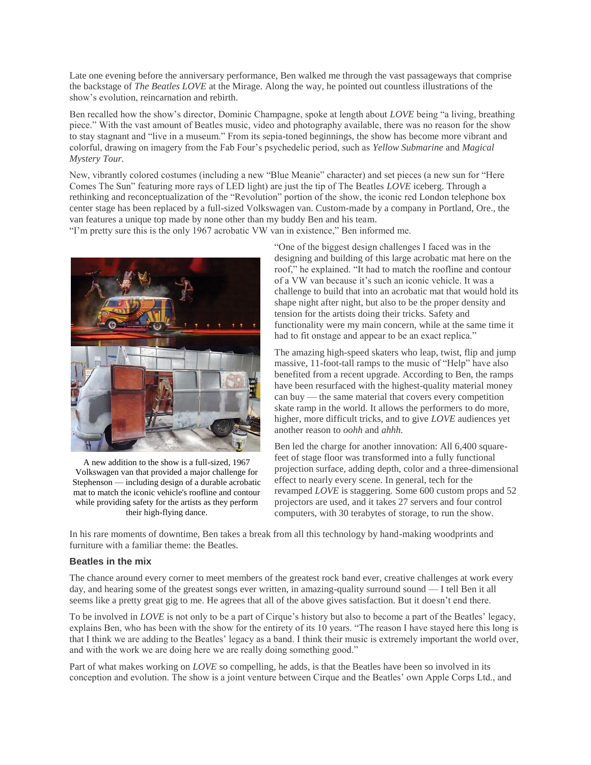Late one evening before the anniversary performance, Ben walked me through the vast passageways that comprise the backstage of *The Beatles LOVE* at the Mirage. Along the way, he pointed out countless illustrations of the show's evolution, reincarnation and rebirth.

Ben recalled how the show's director, Dominic Champagne, spoke at length about *LOVE* being "a living, breathing piece." With the vast amount of Beatles music, video and photography available, there was no reason for the show to stay stagnant and "live in a museum." From its sepia-toned beginnings, the show has become more vibrant and colorful, drawing on imagery from the Fab Four's psychedelic period, such as *Yellow Submarine* and *Magical Mystery Tour.*

New, vibrantly colored costumes (including a new "Blue Meanie" character) and set pieces (a new sun for "Here Comes The Sun" featuring more rays of LED light) are just the tip of The Beatles *LOVE* iceberg. Through a rethinking and reconceptualization of the "Revolution" portion of the show, the iconic red London telephone box center stage has been replaced by a full-sized Volkswagen van. Custom-made by a company in Portland, Ore., the van features a unique top made by none other than my buddy Ben and his team.

"I'm pretty sure this is the only 1967 acrobatic VW van in existence," Ben informed me.



A new addition to the show is a full-sized, 1967 Volkswagen van that provided a major challenge for Stephenson — including design of a durable acrobatic mat to match the iconic vehicle's roofline and contour while providing safety for the artists as they perform their high-flying dance.

"One of the biggest design challenges I faced was in the designing and building of this large acrobatic mat here on the roof," he explained. "It had to match the roofline and contour of a VW van because it's such an iconic vehicle. It was a challenge to build that into an acrobatic mat that would hold its shape night after night, but also to be the proper density and tension for the artists doing their tricks. Safety and functionality were my main concern, while at the same time it had to fit onstage and appear to be an exact replica."

The amazing high-speed skaters who leap, twist, flip and jump massive, 11-foot-tall ramps to the music of "Help" have also benefited from a recent upgrade. According to Ben, the ramps have been resurfaced with the highest-quality material money can buy — the same material that covers every competition skate ramp in the world. It allows the performers to do more, higher, more difficult tricks, and to give *LOVE* audiences yet another reason to *oohh* and *ahhh.*

Ben led the charge for another innovation: All 6,400 squarefeet of stage floor was transformed into a fully functional projection surface, adding depth, color and a three-dimensional effect to nearly every scene. In general, tech for the revamped *LOVE* is staggering. Some 600 custom props and 52 projectors are used, and it takes 27 servers and four control computers, with 30 terabytes of storage, to run the show.

In his rare moments of downtime, Ben takes a break from all this technology by hand-making woodprints and furniture with a familiar theme: the Beatles.

#### **Beatles in the mix**

The chance around every corner to meet members of the greatest rock band ever, creative challenges at work every day, and hearing some of the greatest songs ever written, in amazing-quality surround sound — I tell Ben it all seems like a pretty great gig to me. He agrees that all of the above gives satisfaction. But it doesn't end there.

To be involved in *LOVE* is not only to be a part of Cirque's history but also to become a part of the Beatles' legacy, explains Ben, who has been with the show for the entirety of its 10 years. "The reason I have stayed here this long is that I think we are adding to the Beatles' legacy as a band. I think their music is extremely important the world over, and with the work we are doing here we are really doing something good."

Part of what makes working on *LOVE* so compelling, he adds, is that the Beatles have been so involved in its conception and evolution. The show is a joint venture between Cirque and the Beatles' own Apple Corps Ltd., and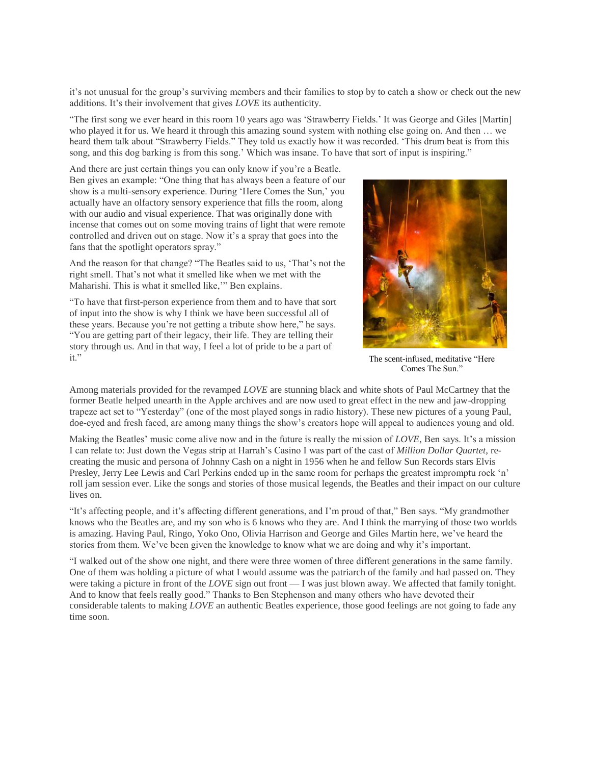it's not unusual for the group's surviving members and their families to stop by to catch a show or check out the new additions. It's their involvement that gives *LOVE* its authenticity.

"The first song we ever heard in this room 10 years ago was 'Strawberry Fields.' It was George and Giles [Martin] who played it for us. We heard it through this amazing sound system with nothing else going on. And then … we heard them talk about "Strawberry Fields." They told us exactly how it was recorded. 'This drum beat is from this song, and this dog barking is from this song.' Which was insane. To have that sort of input is inspiring."

And there are just certain things you can only know if you're a Beatle. Ben gives an example: "One thing that has always been a feature of our show is a multi-sensory experience. During 'Here Comes the Sun,' you actually have an olfactory sensory experience that fills the room, along with our audio and visual experience. That was originally done with incense that comes out on some moving trains of light that were remote controlled and driven out on stage. Now it's a spray that goes into the fans that the spotlight operators spray."

And the reason for that change? "The Beatles said to us, 'That's not the right smell. That's not what it smelled like when we met with the Maharishi. This is what it smelled like,'" Ben explains.

"To have that first-person experience from them and to have that sort of input into the show is why I think we have been successful all of these years. Because you're not getting a tribute show here," he says. "You are getting part of their legacy, their life. They are telling their story through us. And in that way, I feel a lot of pride to be a part of it."



The scent-infused, meditative "Here Comes The Sun."

Among materials provided for the revamped *LOVE* are stunning black and white shots of Paul McCartney that the former Beatle helped unearth in the Apple archives and are now used to great effect in the new and jaw-dropping trapeze act set to "Yesterday" (one of the most played songs in radio history). These new pictures of a young Paul, doe-eyed and fresh faced, are among many things the show's creators hope will appeal to audiences young and old.

Making the Beatles' music come alive now and in the future is really the mission of *LOVE,* Ben says. It's a mission I can relate to: Just down the Vegas strip at Harrah's Casino I was part of the cast of *Million Dollar Quartet,* recreating the music and persona of Johnny Cash on a night in 1956 when he and fellow Sun Records stars Elvis Presley, Jerry Lee Lewis and Carl Perkins ended up in the same room for perhaps the greatest impromptu rock 'n' roll jam session ever. Like the songs and stories of those musical legends, the Beatles and their impact on our culture lives on.

"It's affecting people, and it's affecting different generations, and I'm proud of that," Ben says. "My grandmother knows who the Beatles are, and my son who is 6 knows who they are. And I think the marrying of those two worlds is amazing. Having Paul, Ringo, Yoko Ono, Olivia Harrison and George and Giles Martin here, we've heard the stories from them. We've been given the knowledge to know what we are doing and why it's important.

"I walked out of the show one night, and there were three women of three different generations in the same family. One of them was holding a picture of what I would assume was the patriarch of the family and had passed on. They were taking a picture in front of the *LOVE* sign out front — I was just blown away. We affected that family tonight. And to know that feels really good." Thanks to Ben Stephenson and many others who have devoted their considerable talents to making *LOVE* an authentic Beatles experience, those good feelings are not going to fade any time soon.